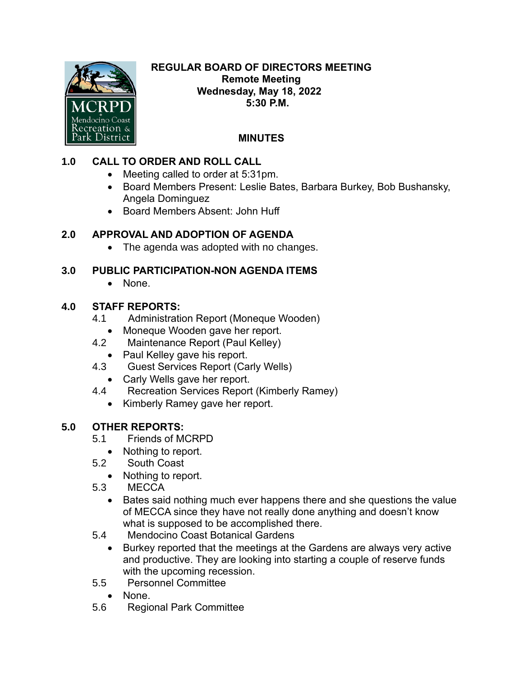

#### **REGULAR BOARD OF DIRECTORS MEETING Remote Meeting Wednesday, May 18, 2022 5:30 P.M.**

# **MINUTES**

## **1.0 CALL TO ORDER AND ROLL CALL**

- Meeting called to order at 5:31pm.
- Board Members Present: Leslie Bates, Barbara Burkey, Bob Bushansky, Angela Dominguez
- Board Members Absent: John Huff

### **2.0 APPROVAL AND ADOPTION OF AGENDA**

• The agenda was adopted with no changes.

#### **3.0 PUBLIC PARTICIPATION-NON AGENDA ITEMS**

• None.

### **4.0 STAFF REPORTS:**

- 4.1 Administration Report (Moneque Wooden)
	- Moneque Wooden gave her report.
- 4.2 Maintenance Report (Paul Kelley)
	- Paul Kelley gave his report.
- 4.3 Guest Services Report (Carly Wells)
	- Carly Wells gave her report.
- 4.4 Recreation Services Report (Kimberly Ramey)
	- Kimberly Ramey gave her report.

### **5.0 OTHER REPORTS:**

- 5.1 Friends of MCRPD
	- Nothing to report.
- 5.2 South Coast
	- Nothing to report.
- 5.3 MECCA
	- Bates said nothing much ever happens there and she questions the value of MECCA since they have not really done anything and doesn't know what is supposed to be accomplished there.
- 5.4 Mendocino Coast Botanical Gardens
	- Burkey reported that the meetings at the Gardens are always very active and productive. They are looking into starting a couple of reserve funds with the upcoming recession.
- 5.5 Personnel Committee
	- None.
- 5.6 Regional Park Committee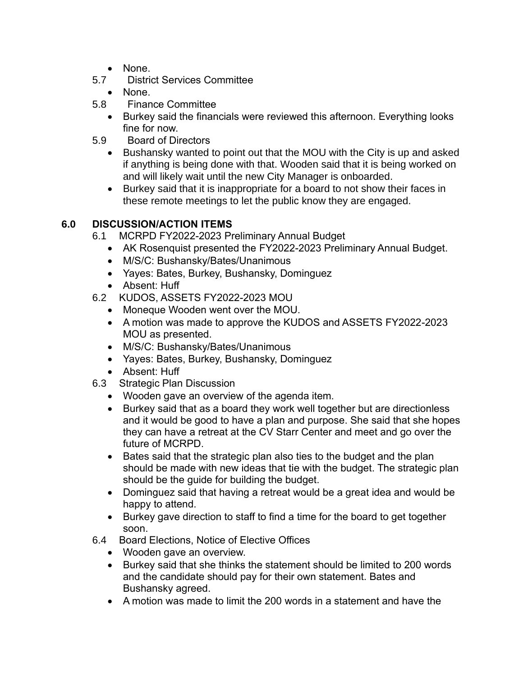- None.
- 5.7 District Services Committee
	- None.
- 5.8 Finance Committee
	- Burkey said the financials were reviewed this afternoon. Everything looks fine for now.
- 5.9 Board of Directors
	- Bushansky wanted to point out that the MOU with the City is up and asked if anything is being done with that. Wooden said that it is being worked on and will likely wait until the new City Manager is onboarded.
	- Burkey said that it is inappropriate for a board to not show their faces in these remote meetings to let the public know they are engaged.

#### **6.0 DISCUSSION/ACTION ITEMS**

- 6.1 MCRPD FY2022-2023 Preliminary Annual Budget
	- AK Rosenquist presented the FY2022-2023 Preliminary Annual Budget.
	- M/S/C: Bushansky/Bates/Unanimous
	- Yayes: Bates, Burkey, Bushansky, Dominguez
	- Absent: Huff
- 6.2 KUDOS, ASSETS FY2022-2023 MOU
	- Moneque Wooden went over the MOU.
	- A motion was made to approve the KUDOS and ASSETS FY2022-2023 MOU as presented.
	- M/S/C: Bushansky/Bates/Unanimous
	- Yayes: Bates, Burkey, Bushansky, Dominguez
	- Absent: Huff
- 6.3 Strategic Plan Discussion
	- Wooden gave an overview of the agenda item.
	- Burkey said that as a board they work well together but are directionless and it would be good to have a plan and purpose. She said that she hopes they can have a retreat at the CV Starr Center and meet and go over the future of MCRPD.
	- Bates said that the strategic plan also ties to the budget and the plan should be made with new ideas that tie with the budget. The strategic plan should be the guide for building the budget.
	- Dominguez said that having a retreat would be a great idea and would be happy to attend.
	- Burkey gave direction to staff to find a time for the board to get together soon.
- 6.4 Board Elections, Notice of Elective Offices
	- Wooden gave an overview.
	- Burkey said that she thinks the statement should be limited to 200 words and the candidate should pay for their own statement. Bates and Bushansky agreed.
	- A motion was made to limit the 200 words in a statement and have the